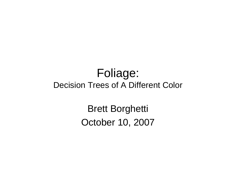#### Foliage: Decision Trees of A Different Color

Brett BorghettiOctober 10, 2007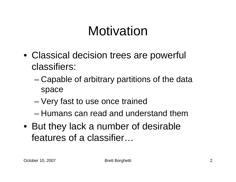# Motivation

- Classical decision trees are powerful classifiers:
	- – Capable of arbitrary partitions of the data space
	- Very fast to use once trained
	- –Humans can read and understand them
- But they lack a number of desirable features of a classifier…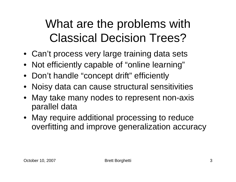### What are the problems with Classical Decision Trees?

- Can't process very large training data sets
- Not efficiently capable of "online learning"
- Don't handle "concept drift" efficiently
- Noisy data can cause structural sensitivities
- May take many nodes to represent non-axis parallel data
- May require additional processing to reduce overfitting and improve generalization accuracy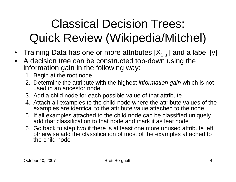# Classical Decision Trees: Quick Review (Wikipedia/Mitchel)

- Training Data has one or more attributes  $[X_{1..n}]$  and a label [y]
- $\bullet$  A decision tree can be constructed top-down using the information gain in the following way:
	- 1. Begin at the root node
	- 2. Determine the attribute with the highest *information gain* which is not used in an ancestor node
	- 3. Add a child node for each possible value of that attribute
	- 4. Attach all examples to the child node where the attribute values of the examples are identical to the attribute value attached to the node
	- 5. If all examples attached to the child node can be classified uniquely add that classification to that node and mark it as leaf node
	- 6. Go back to step two if there is at least one more unused attribute left, otherwise add the classification of most of the examples attached to the child node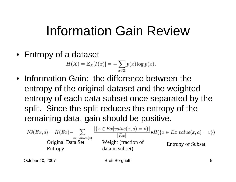# Information Gain Review

• Entropy of a dataset

$$
H(X) = \mathbb{E}_X[I(x)] = -\sum_{x \in \mathbb{X}} p(x) \log p(x).
$$

• Information Gain: the difference between the entropy of the original dataset and the weighted entropy of each data subset once separated by the split. Since the split reduces the entropy of the remaining data, gain should be positive.

$$
IG(EX, a) = H(EX) - \sum_{\substack{v \in values(a) \\ \text{Original Data Set}}} \frac{|\{x \in Ex| value(x, a) = v\}|}{|Ex|} \bullet H(\{x \in Ex| value(x, a) = v\})
$$
\n
$$
Diffopy of Subset
$$
\nEntropy of Subset

October 10, 2007 Brett Borghetti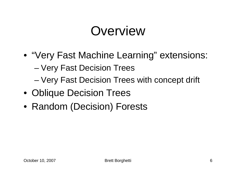# **Overview**

- "Very Fast Machine Learning" extensions:
	- Very Fast Decision Trees
	- Very Fast Decision Trees with concept drift
- Oblique Decision Trees
- Random (Decision) Forests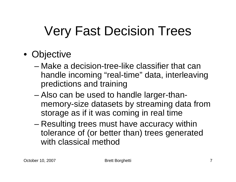# Very Fast Decision Trees

- Objective
	- – Make a decision-tree-like classifier that can handle incoming "real-time" data, interleaving predictions and training
	- – Also can be used to handle larger-thanmemory-size datasets by streaming data from storage as if it was coming in real time
	- – Resulting trees must have accuracy within tolerance of (or better than) trees generated with classical method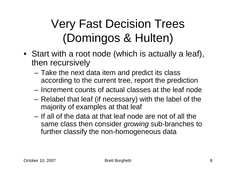# Very Fast Decision Trees(Domingos & Hulten)

- Start with a root node (which is actually a leaf), then recursively
	- Take the next data item and predict its class according to the current tree, report the prediction
	- Increment counts of actual classes at the leaf node
	- Relabel that leaf (if necessary) with the label of the majority of examples at that leaf
	- – If all of the data at that leaf node are not of all the same class then consider *growing* sub-branches to further classify the non-homogeneous data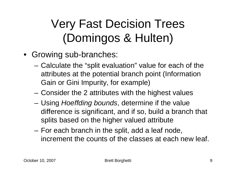# Very Fast Decision Trees(Domingos & Hulten)

- Growing sub-branches:
	- – Calculate the "split evaluation" value for each of the attributes at the potential branch point (Information Gain or Gini Impurity, for example)
	- Consider the 2 attributes with the highest values
	- Using Hoeffding bounds, determine if the value difference is significant, and if so, build a branch that splits based on the higher valued attribute
	- For each branch in the split, add a leaf node, increment the counts of the classes at each new leaf.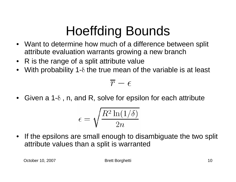# Hoeffding Bounds

- Want to determine how much of a difference between split attribute evaluation warrants growing a new branch
- •R is the range of a split attribute value
- With probability 1- $\delta$  the true mean of the variable is at least  $\bullet$

$$
\overline{r}-\epsilon
$$

 $\bullet$ Given a 1- $\delta$ , n, and R, solve for epsilon for each attribute

$$
\epsilon = \sqrt{\frac{R^2 \ln(1/\delta)}{2n}}
$$

 $\bullet$  If the epsilons are small enough to disambiguate the two split attribute values than a split is warranted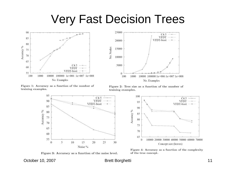#### Very Fast Decision Trees





Figure 1: Accuracy as a function of the number of training examples.

Figure 2: Tree size as a function of the number of training examples.



Figure 3: Accuracy as a function of the noise level.



Figure 4: Accuracy as a function of the complexity of the true concept.

October 10, 2007 **Brett Borghetti** 11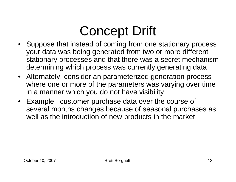# Concept Drift

- Suppose that instead of coming from one stationary process your data was being generated from two or more different stationary processes and that there was a secret mechanism determining which process was currently generating data
- Alternately, consider an parameterized generation process where one or more of the parameters was varying over time in a manner which you do not have visibility
- Example: customer purchase data over the course of several months changes because of seasonal purchases as well as the introduction of new products in the market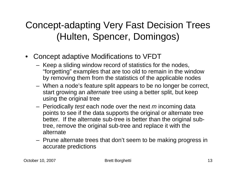#### Concept-adapting Very Fast Decision Trees (Hulten, Spencer, Domingos)

- Concept adaptive Modifications to VFDT
	- $\blacksquare$  . Keen a sliding window record of statistics fo Keep a sliding window record of statistics for the nodes, "forgetting" examples that are too old to remain in the window by removing them from the statistics of the applicable nodes
	- When a node's feature split appears to be no longer be correct, start growing an *alternate* tree using a better split, but keep using the original tree
	- Periodically *test* each node over the next *m* incoming data points to see if the data supports the original or alternate trung points to see if the data supports the original or alternate tree better. If the alternate sub-tree is better than the original subtree, remove the original sub-tree and replace it with the alternate
	- Prune alternate trees that don't seem to be making progress in accurate predictions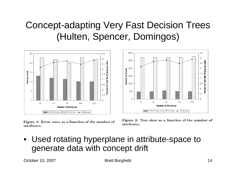#### Concept-adapting Very Fast Decision Trees (Hulten, Spencer, Domingos)



Figure 1: Error rates as a function of the number of attributes.



Figure 2: Tree sizes as a function of the number of attributes.

• Used rotating hyperplane in attribute-space to generate data with concept drift

October 10, 2007 **Brett Borghetti** 14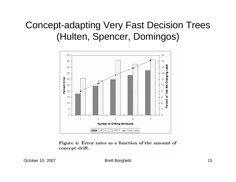#### Concept-adapting Very Fast Decision Trees (Hulten, Spencer, Domingos)



Figure 4: Error rates as a function of the amount of concept drift.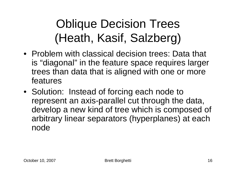- Problem with classical decision trees: Data that is "diagonal" in the feature space requires larger trees than data that is aligned with one or more features
- Solution: Instead of forcing each node to represent an axis-parallel cut through the data, develop a new kind of tree which is composed of arbitrary linear separators (hyperplanes) at each node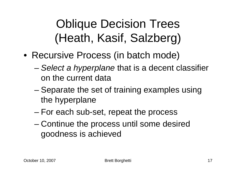- Recursive Process (in batch mode)
	- Select a hyperplane that is a decent classifier on the current data
	- – Separate the set of training examples using the hyperplane
	- –For each sub-set, repeat the process
	- – Continue the process until some desired goodness is achieved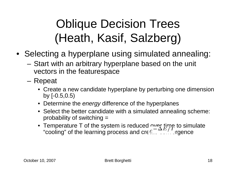- Selecting a hyperplane using simulated annealing:
	- Start with an arbitrary hyperplane based on the unit vectors in the featurespace
	- – Repeat
		- Create a new candidate hyperplane by perturbing one dimension by [-0.5,0.5)
		- Determine the *energy* difference of the hyperplanes
		- Select the better candidate with a simulated annealing scheme: probability of switching =
		- Temperature T of the system is reduced  $\sim$   $\propto$   $_{\rm H}\gamma$  to simulate "cooling" of the learning process and creed contracting reports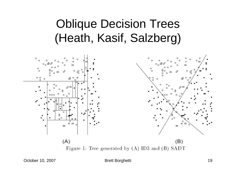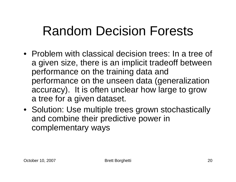# Random Decision Forests

- Problem with classical decision trees: In a tree of a given size, there is an implicit tradeoff betweenperformance on the training data and performance on the unseen data (generalization accuracy). It is often unclear how large to grow a tree for a given dataset.
- Solution: Use multiple trees grown stochastically and combine their predictive power in complementary ways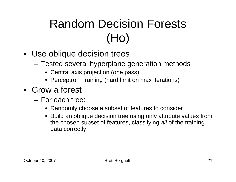# Random Decision Forests(Ho)

- Use oblique decision trees
	- Tested several hyperplane generation methods
		- Central axis projection (one pass)
		- Perceptron Training (hard limit on max iterations)
- Grow a forest
	- – For each tree:
		- Randomly choose a subset of features to consider
		- Build an oblique decision tree using only attribute values from the chosen subset of features, classifying all of the training data correctly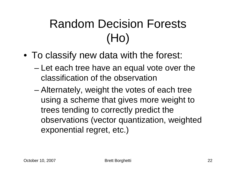# Random Decision Forests(Ho)

- To classify new data with the forest:
	- Let each tree have an equal vote over the classification of the observation
	- – Alternately, weight the votes of each tree using a scheme that gives more weight to trees tending to correctly predict the observations (vector quantization, weighted exponential regret, etc.)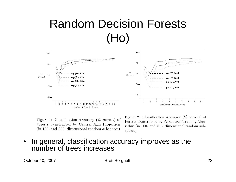### Random Decision Forests(Ho)



Figure 1: Classification Accuracy (% correct) of Forests Constructed by Central Axis Projection (in 100- and 200- dimensional random subspaces)

Figure 2: Classification Accuracy (% correct) of Forests Constructed by Perceptron Training Algorithm (in 100- and 200- dimensional random subspaces)

• In general, classification accuracy improves as the number of trees increases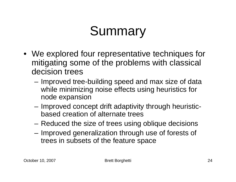# **Summary**

- We explored four representative techniques for mitigating some of the problems with classical decision trees
	- – Improved tree-building speed and max size of data while minimizing noise effects using heuristics fornode expansion
	- – Improved concept drift adaptivity through heuristicbased creation of alternate trees
	- Reduced the size of trees using oblique decisions
	- – Improved generalization through use of forests of trees in subsets of the feature space